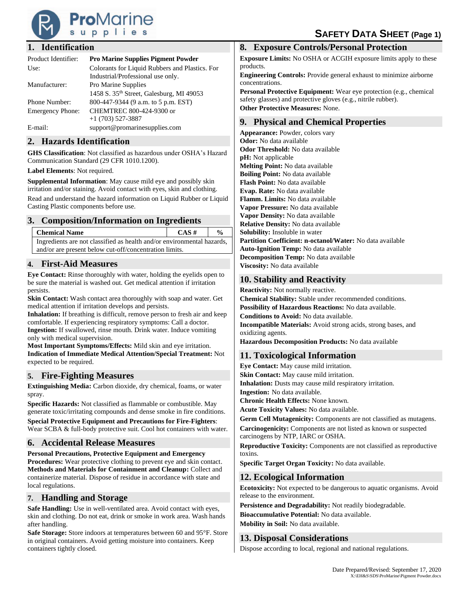

## **1. Identification**

| Product Identifier:     | <b>Pro Marine Supplies Pigment Powder</b>                                           |
|-------------------------|-------------------------------------------------------------------------------------|
| Use:                    | Colorants for Liquid Rubbers and Plastics. For<br>Industrial/Professional use only. |
| Manufacturer:           | Pro Marine Supplies<br>1458 S. 35th Street, Galesburg, MI 49053                     |
| <b>Phone Number:</b>    | 800-447-9344 (9 a.m. to 5 p.m. EST)                                                 |
| <b>Emergency Phone:</b> | CHEMTREC 800-424-9300 or<br>$+1$ (703) 527-3887                                     |
| E-mail:                 | support@promarinesupplies.com                                                       |

## **2. Hazards Identification**

**GHS Classification**: Not classified as hazardous under OSHA's Hazard Communication Standard (29 CFR 1010.1200).

**Label Elements**: Not required.

**Supplemental Information**: May cause mild eye and possibly skin irritation and/or staining. Avoid contact with eyes, skin and clothing. Read and understand the hazard information on Liquid Rubber or Liquid Casting Plastic components before use.

## **3. Composition/Information on Ingredients**

| <b>Chemical Name</b>                                                   | $CAS \#$ | $\frac{6}{9}$ |
|------------------------------------------------------------------------|----------|---------------|
| Ingredients are not classified as health and/or environmental hazards, |          |               |
| and/or are present below cut-off/concentration limits.                 |          |               |

## **4. First-Aid Measures**

**Eye Contact:** Rinse thoroughly with water, holding the eyelids open to be sure the material is washed out. Get medical attention if irritation persists.

**Skin Contact:** Wash contact area thoroughly with soap and water. Get medical attention if irritation develops and persists.

**Inhalation:** If breathing is difficult, remove person to fresh air and keep comfortable. If experiencing respiratory symptoms: Call a doctor. **Ingestion:** If swallowed, rinse mouth. Drink water. Induce vomiting only with medical supervision.

**Most Important Symptoms/Effects:** Mild skin and eye irritation. **Indication of Immediate Medical Attention/Special Treatment:** Not expected to be required.

## **5. Fire-Fighting Measures**

**Extinguishing Media:** Carbon dioxide, dry chemical, foams, or water spray.

**Specific Hazards:** Not classified as flammable or combustible. May generate toxic/irritating compounds and dense smoke in fire conditions.

**Special Protective Equipment and Precautions for Fire-Fighters**: Wear SCBA & full-body protective suit. Cool hot containers with water.

## **6. Accidental Release Measures**

**Personal Precautions, Protective Equipment and Emergency Procedures:** Wear protective clothing to prevent eye and skin contact. **Methods and Materials for Containment and Cleanup:** Collect and containerize material. Dispose of residue in accordance with state and local regulations.

### **7. Handling and Storage**

**Safe Handling:** Use in well-ventilated area. Avoid contact with eyes, skin and clothing. Do not eat, drink or smoke in work area. Wash hands after handling.

**Safe Storage:** Store indoors at temperatures between 60 and 95°F. Store in original containers. Avoid getting moisture into containers. Keep containers tightly closed.

## **8. Exposure Controls/Personal Protection**

**Exposure Limits:** No OSHA or ACGIH exposure limits apply to these products.

**Engineering Controls:** Provide general exhaust to minimize airborne concentrations.

**Personal Protective Equipment:** Wear eye protection (e.g., chemical safety glasses) and protective gloves (e.g., nitrile rubber). **Other Protective Measures:** None.

## **9. Physical and Chemical Properties**

**Appearance:** Powder, colors vary **Odor:** No data available **Odor Threshold:** No data available **pH:** Not applicable **Melting Point:** No data available **Boiling Point:** No data available **Flash Point:** No data available **Evap. Rate:** No data available **Flamm. Limits:** No data available **Vapor Pressure:** No data available **Vapor Density:** No data available **Relative Density:** No data available **Solubility:** Insoluble in water **Partition Coefficient: n-octanol/Water:** No data available **Auto-Ignition Temp:** No data available **Decomposition Temp:** No data available **Viscosity:** No data available

## **10. Stability and Reactivity**

**Reactivity:** Not normally reactive.

**Chemical Stability:** Stable under recommended conditions. **Possibility of Hazardous Reactions:** No data available. **Conditions to Avoid:** No data available. **Incompatible Materials:** Avoid strong acids, strong bases, and

oxidizing agents. **Hazardous Decomposition Products:** No data available

# **11. Toxicological Information**

**Eye Contact:** May cause mild irritation. **Skin Contact:** May cause mild irritation. **Inhalation:** Dusts may cause mild respiratory irritation. **Ingestion:** No data available. **Chronic Health Effects:** None known. **Acute Toxicity Values:** No data available. **Germ Cell Mutagenicity:** Components are not classified as mutagens.

**Carcinogenicity:** Components are not listed as known or suspected carcinogens by NTP, IARC or OSHA.

**Reproductive Toxicity:** Components are not classified as reproductive toxins.

**Specific Target Organ Toxicity:** No data available.

## **12. Ecological Information**

**Ecotoxicity:** Not expected to be dangerous to aquatic organisms. Avoid release to the environment.

**Persistence and Degradability:** Not readily biodegradable.

**Bioaccumulative Potential:** No data available.

**Mobility in Soil:** No data available.

## **13. Disposal Considerations**

Dispose according to local, regional and national regulations.